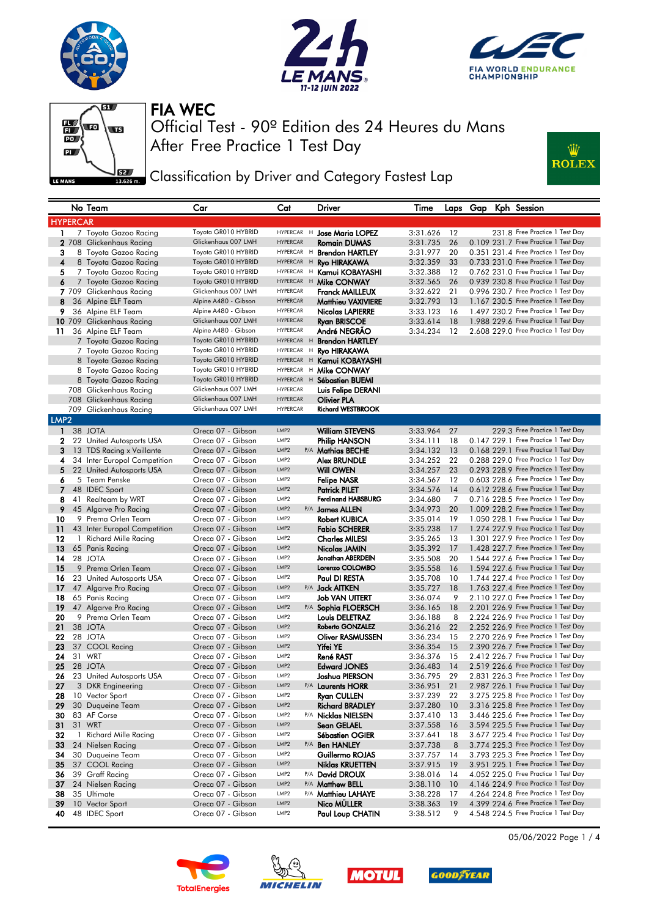









Classification by Driver and Category Fastest Lap

|                  |                 | No Team                                         | Car                                         | Cat                                  | Driver                                            | Time                 |           |  | Laps Gap Kph Session                                                         |
|------------------|-----------------|-------------------------------------------------|---------------------------------------------|--------------------------------------|---------------------------------------------------|----------------------|-----------|--|------------------------------------------------------------------------------|
|                  | <b>HYPERCAR</b> |                                                 |                                             |                                      |                                                   |                      |           |  |                                                                              |
| 1.               |                 | 7 Toyota Gazoo Racing                           | Toyota GR010 HYBRID                         |                                      | HYPERCAR H Jose Maria LOPEZ                       | 3:31.626             | 12        |  | 231.8 Free Practice 1 Test Day                                               |
|                  |                 | 2 708 Glickenhaus Racing                        | Glickenhaus 007 LMH                         | <b>HYPERCAR</b>                      | <b>Romain DUMAS</b>                               | 3:31.735             | 26        |  | 0.109 231.7 Free Practice 1 Test Day                                         |
| 3                |                 | 8 Toyota Gazoo Racing                           | Toyota GR010 HYBRID                         | HYPERCAR H                           | <b>Brendon HARTLEY</b>                            | 3:31.977             | 20        |  | 0.351 231.4 Free Practice 1 Test Day                                         |
| 4                |                 | 8 Toyota Gazoo Racing                           | Toyota GR010 HYBRID                         | HYPERCAR H                           | <b>Ryo HIRAKAWA</b>                               | 3:32.359             | 33        |  | 0.733 231.0 Free Practice 1 Test Day                                         |
| 5                |                 | 7 Toyota Gazoo Racing                           | Toyota GR010 HYBRID                         |                                      | HYPERCAR H Kamui KOBAYASHI                        | 3:32.388             | 12        |  | 0.762 231.0 Free Practice 1 Test Day                                         |
| 6                |                 | 7 Toyota Gazoo Racing                           | Toyota GR010 HYBRID                         |                                      | HYPERCAR H Mike CONWAY                            | 3:32.565             | 26        |  | 0.939 230.8 Free Practice 1 Test Day                                         |
|                  |                 | 7 709 Glickenhaus Racing                        | Glickenhaus 007 LMH                         | <b>HYPERCAR</b>                      | Franck MAILLEUX                                   | 3:32.622             | 21        |  | 0.996 230.7 Free Practice 1 Test Day                                         |
| 8                |                 | 36 Alpine ELF Team                              | Alpine A480 - Gibson                        | <b>HYPERCAR</b><br><b>HYPERCAR</b>   | Matthieu VAXIVIERE                                | 3:32.793             | -13       |  | 1.167 230.5 Free Practice 1 Test Day                                         |
| 9                |                 | 36 Alpine ELF Team                              | Alpine A480 - Gibson<br>Glickenhaus 007 LMH | <b>HYPERCAR</b>                      | Nicolas LAPIERRE                                  | 3:33.123             | 16        |  | 1.497 230.2 Free Practice 1 Test Day<br>1.988 229.6 Free Practice 1 Test Day |
| 11               |                 | 10 709 Glickenhaus Racing<br>36 Alpine ELF Team | Alpine A480 - Gibson                        | <b>HYPERCAR</b>                      | <b>Ryan BRISCOE</b><br>André NEGRÃO               | 3:33.614<br>3:34.234 | 18<br>12  |  | 2.608 229.0 Free Practice 1 Test Day                                         |
|                  |                 | 7 Toyota Gazoo Racing                           | Toyota GR010 HYBRID                         |                                      | HYPERCAR H Brendon HARTLEY                        |                      |           |  |                                                                              |
|                  |                 | 7 Toyota Gazoo Racing                           | Toyota GR010 HYBRID                         | HYPERCAR H                           | Ryo HIRAKAWA                                      |                      |           |  |                                                                              |
|                  |                 | 8 Toyota Gazoo Racing                           | Toyota GR010 HYBRID                         |                                      | HYPERCAR H Kamui KOBAYASHI                        |                      |           |  |                                                                              |
|                  |                 | 8 Toyota Gazoo Racing                           | Toyota GR010 HYBRID                         |                                      | HYPERCAR H Mike CONWAY                            |                      |           |  |                                                                              |
|                  |                 | 8 Toyota Gazoo Racing                           | Toyota GR010 HYBRID                         |                                      | HYPERCAR H Sébastien BUEMI                        |                      |           |  |                                                                              |
|                  |                 | 708 Glickenhaus Racing                          | Glickenhaus 007 LMH                         | <b>HYPERCAR</b>                      | Luis Felipe DERANI                                |                      |           |  |                                                                              |
|                  |                 | 708 Glickenhaus Racing                          | Glickenhaus 007 LMH                         | <b>HYPERCAR</b>                      | Olivier PLA                                       |                      |           |  |                                                                              |
|                  |                 | 709 Glickenhaus Racing                          | Glickenhaus 007 LMH                         | <b>HYPERCAR</b>                      | <b>Richard WESTBROOK</b>                          |                      |           |  |                                                                              |
| LMP <sub>2</sub> |                 |                                                 |                                             |                                      |                                                   |                      |           |  |                                                                              |
|                  |                 | 1 38 JOTA                                       | Oreca 07 - Gibson                           | LMP <sub>2</sub>                     | <b>William STEVENS</b>                            | 3:33.964             | 27        |  | 229.3 Free Practice 1 Test Day                                               |
| 2                |                 | 22 United Autosports USA                        | Oreca 07 - Gibson                           | LMP <sub>2</sub>                     | Philip HANSON                                     | 3:34.111             | 18        |  | 0.147 229.1 Free Practice 1 Test Day                                         |
| 3                |                 | 13 TDS Racing x Vaillante                       | Oreca 07 - Gibson                           | LMP <sub>2</sub>                     | P/A Mathias BECHE                                 | 3:34.132             | -13       |  | 0.168 229.1 Free Practice 1 Test Day                                         |
| 4                |                 | 34 Inter Europol Competition                    | Oreca 07 - Gibson                           | LMP <sub>2</sub>                     | <b>Alex BRUNDLE</b>                               | 3:34.252             | 22        |  | 0.288 229.0 Free Practice 1 Test Day                                         |
| 5                |                 | 22 United Autosports USA                        | Oreca 07 - Gibson                           | LMP <sub>2</sub>                     | Will OWEN                                         | 3:34.257             | 23        |  | 0.293 228.9 Free Practice 1 Test Day                                         |
| 6                |                 | 5 Team Penske<br>48 IDEC Sport                  | Oreca 07 - Gibson<br>Oreca 07 - Gibson      | LMP2<br>LMP <sub>2</sub>             | <b>Felipe NASR</b>                                | 3:34.567             | 12        |  | 0.603 228.6 Free Practice 1 Test Day<br>0.612 228.6 Free Practice 1 Test Day |
| 7<br>8           |                 | 41 Realteam by WRT                              | Oreca 07 - Gibson                           | LMP <sub>2</sub>                     | <b>Patrick PILET</b><br><b>Ferdinand HABSBURG</b> | 3:34.576<br>3:34.680 | 14<br>7   |  | 0.716 228.5 Free Practice 1 Test Day                                         |
| 9                |                 | 45 Algarve Pro Racing                           | Oreca 07 - Gibson                           | LMP <sub>2</sub>                     | P/A James ALLEN                                   | 3:34.973             | 20        |  | 1.009 228.2 Free Practice 1 Test Day                                         |
| 10               |                 | 9 Prema Orlen Team                              | Oreca 07 - Gibson                           | LMP <sub>2</sub>                     | <b>Robert KUBICA</b>                              | 3:35.014             | 19        |  | 1.050 228.1 Free Practice 1 Test Day                                         |
| 11               |                 | 43 Inter Europol Competition                    | Oreca 07 - Gibson                           | LMP <sub>2</sub>                     | <b>Fabio SCHERER</b>                              | 3:35.238             | -17       |  | 1.274 227.9 Free Practice 1 Test Day                                         |
| 12               |                 | 1 Richard Mille Racing                          | Oreca 07 - Gibson                           | LMP2                                 | Charles MILESI                                    | 3:35.265             | 13        |  | 1.301 227.9 Free Practice 1 Test Day                                         |
| 13               |                 | 65 Panis Racing                                 | Oreca 07 - Gibson                           | LMP <sub>2</sub>                     | Nicolas JAMIN                                     | 3:35.392             | 17        |  | 1.428 227.7 Free Practice 1 Test Day                                         |
| 14               |                 | 28 JOTA                                         | Oreca 07 - Gibson                           | LMP <sub>2</sub>                     | Jonathan ABERDEIN                                 | 3:35.508             | 20        |  | 1.544 227.6 Free Practice 1 Test Day                                         |
| 15               |                 | 9 Prema Orlen Team                              | Oreca 07 - Gibson                           | LMP <sub>2</sub>                     | Lorenzo COLOMBO                                   | 3:35.558             | <b>16</b> |  | 1.594 227.6 Free Practice 1 Test Day                                         |
| 16               |                 | 23 United Autosports USA                        | Oreca 07 - Gibson                           | LMP <sub>2</sub>                     | Paul DI RESTA                                     | 3:35.708             | 10        |  | 1.744 227.4 Free Practice 1 Test Day                                         |
| 17               |                 | 47 Algarve Pro Racing                           | Oreca 07 - Gibson                           | LMP <sub>2</sub>                     | P/A <b>Jack AITKEN</b>                            | 3:35.727             | 18        |  | 1.763 227.4 Free Practice 1 Test Day                                         |
| 18               |                 | 65 Panis Racing                                 | Oreca 07 - Gibson                           | LMP <sub>2</sub>                     | Job VAN UITERT                                    | 3:36.074             | 9         |  | 2.110 227.0 Free Practice 1 Test Day                                         |
| 19               |                 | 47 Algarve Pro Racing                           | Oreca 07 - Gibson                           | LMP <sub>2</sub><br>LMP <sub>2</sub> | P/A Sophia FLOERSCH                               | 3:36.165             | 18        |  | 2.201 226.9 Free Practice 1 Test Day<br>2.224 226.9 Free Practice 1 Test Day |
| 20<br>21         |                 | 9 Prema Orlen Team<br>38 JOTA                   | Oreca 07 - Gibson<br>Oreca 07 - Gibson      | LMP <sub>2</sub>                     | <b>Louis DELETRAZ</b><br>Roberto GONZALEZ         | 3:36.188<br>3:36.216 | 8<br>22   |  | 2.252 226.9 Free Practice 1 Test Day                                         |
| 22               |                 | 28 JOTA                                         | Oreca 07 - Gibson                           | LMP2                                 | <b>Oliver RASMUSSEN</b>                           | 3:36.234             | 15        |  | 2.270 226.9 Free Practice 1 Test Day                                         |
| 23               |                 | 37 COOL Racing                                  | Oreca 07 - Gibson                           | LMP <sub>2</sub>                     | Yifei YE                                          | 3:36.354             | 15        |  | 2.390 226.7 Free Practice 1 Test Day                                         |
| 24               |                 | 31 WRT                                          | Oreca 07 - Gibson                           | LMP2                                 | René RAST                                         | 3:36.376             | 15        |  | 2.412 226.7 Free Practice 1 Test Day                                         |
| 25               |                 | 28 JOTA                                         | Oreca 07 - Gibson                           | LMP <sub>2</sub>                     | <b>Edward JONES</b>                               | 3:36.483             | 14        |  | 2.519 226.6 Free Practice 1 Test Day                                         |
| 26               |                 | 23 United Autosports USA                        | Oreca 07 - Gibson                           | LMP <sub>2</sub>                     | Joshua PIERSON                                    | 3:36.795             | 29        |  | 2.831 226.3 Free Practice 1 Test Day                                         |
| 27               |                 | 3 DKR Engineering                               | Oreca 07 - Gibson                           | LMP2                                 | P/A Laurents HORR                                 | 3:36.951             | 21        |  | 2.987 226.1 Free Practice 1 Test Day                                         |
| 28               |                 | 10 Vector Sport                                 | Oreca 07 - Gibson                           | LMP2                                 | <b>Ryan CULLEN</b>                                | 3:37.239             | 22        |  | 3.275 225.8 Free Practice 1 Test Day                                         |
| 29               |                 | 30 Duqueine Team                                | Oreca 07 - Gibson                           | LMP2                                 | <b>Richard BRADLEY</b>                            | 3:37.280             | 10        |  | 3.316 225.8 Free Practice 1 Test Day                                         |
| 30               |                 | 83 AF Corse                                     | Oreca 07 - Gibson                           | LMP2                                 | P/A Nicklas NIELSEN                               | 3:37.410             | 13        |  | 3.446 225.6 Free Practice 1 Test Day                                         |
| 31               |                 | 31 WRT                                          | Oreca 07 - Gibson                           | LMP2                                 | Sean GELAEL                                       | 3:37.558             | - 16      |  | 3.594 225.5 Free Practice 1 Test Day                                         |
| 32               |                 | 1 Richard Mille Racing                          | Oreca 07 - Gibson                           | LMP2                                 | Sébastien OGIER                                   | 3:37.641             | 18        |  | 3.677 225.4 Free Practice 1 Test Day                                         |
| 33<br>34         |                 | 24 Nielsen Racing                               | Oreca 07 - Gibson<br>Oreca 07 - Gibson      | LMP2<br>LMP2                         | P/A Ben HANLEY<br>Guillermo ROJAS                 | 3:37.738             | 8<br>14   |  | 3.774 225.3 Free Practice 1 Test Day<br>3.793 225.3 Free Practice 1 Test Day |
| 35               |                 | 30 Duqueine Team<br>37 COOL Racing              | Oreca 07 - Gibson                           | LMP2                                 | Niklas KRUETTEN                                   | 3:37.757<br>3:37.915 | 19        |  | 3.951 225.1 Free Practice 1 Test Day                                         |
| 36               |                 | 39 Graff Racing                                 | Oreca 07 - Gibson                           | LMP2                                 | P/A David DROUX                                   | 3:38.016             | 14        |  | 4.052 225.0 Free Practice 1 Test Day                                         |
| 37               |                 | 24 Nielsen Racing                               | Oreca 07 - Gibson                           | LMP2                                 | P/A Matthew BELL                                  | 3:38.110             | 10        |  | 4.146 224.9 Free Practice 1 Test Day                                         |
| 38               |                 | 35 Ultimate                                     | Oreca 07 - Gibson                           | LMP2                                 | P/A Matthieu LAHAYE                               | 3:38.228             | 17        |  | 4.264 224.8 Free Practice 1 Test Day                                         |
| 39               |                 | 10 Vector Sport                                 | Oreca 07 - Gibson                           | LMP2                                 | Nico MÜLLER                                       | 3:38.363             | 19        |  | 4.399 224.6 Free Practice 1 Test Day                                         |
| 40               |                 | 48 IDEC Sport                                   | Oreca 07 - Gibson                           | LMP2                                 | Paul Loup CHATIN                                  | 3:38.512             | 9         |  | 4.548 224.5 Free Practice 1 Test Day                                         |









05/06/2022 Page 1 / 4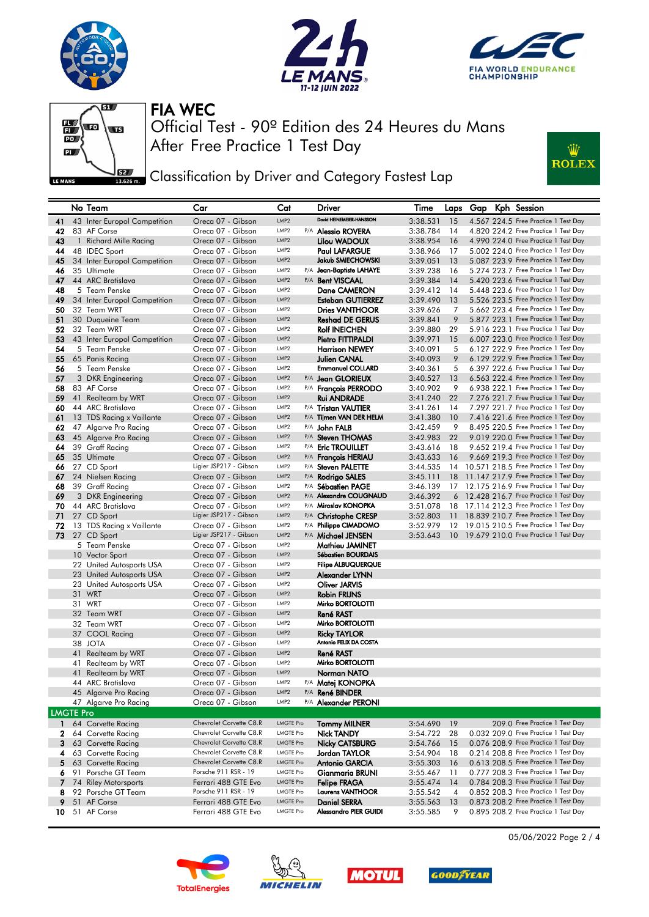









**EXALC** Classification by Driver and Category Fastest Lap

|                  |    | No Team                                    | Car                                    | Cat                                  | Driver                                      | Time                 |     |  | Laps Gap Kph Session                                                         |
|------------------|----|--------------------------------------------|----------------------------------------|--------------------------------------|---------------------------------------------|----------------------|-----|--|------------------------------------------------------------------------------|
| 41               |    | 43 Inter Europol Competition               | Oreca 07 - Gibson                      | LMP2                                 | David HEINEMEIER-HANSSON                    | 3:38.531             | 15  |  | 4.567 224.5 Free Practice 1 Test Day                                         |
| 42               |    | 83 AF Corse                                | Oreca 07 - Gibson                      | LMP <sub>2</sub>                     | P/A Alessio ROVERA                          | 3:38.784             | 14  |  | 4.820 224.2 Free Practice 1 Test Day                                         |
| 43               |    | 1 Richard Mille Racing                     | Oreca 07 - Gibson                      | LMP <sub>2</sub>                     | Lilou WADOUX                                | 3:38.954             | 16  |  | 4.990 224.0 Free Practice 1 Test Day                                         |
| 44               |    | 48 IDEC Sport                              | Oreca 07 - Gibson                      | LMP <sub>2</sub>                     | <b>Paul LAFARGUE</b>                        | 3:38.966             | 17  |  | 5.002 224.0 Free Practice 1 Test Day                                         |
| 45               |    | 34 Inter Europol Competition               | Oreca 07 - Gibson                      | LMP <sub>2</sub>                     | Jakub SMIECHOWSKI                           | 3:39.051             | 13  |  | 5.087 223.9 Free Practice 1 Test Day                                         |
| 46               |    | 35 Ultimate                                | Oreca 07 - Gibson                      | LMP <sub>2</sub>                     | P/A Jean-Baptiste LAHAYE                    | 3:39.238             | 16  |  | 5.274 223.7 Free Practice 1 Test Day                                         |
| 47               |    | 44 ARC Bratislava                          | Oreca 07 - Gibson                      | LMP <sub>2</sub><br>P/A              | <b>Bent VISCAAL</b>                         | 3:39.384             | 14  |  | 5.420 223.6 Free Practice 1 Test Day                                         |
| 48               |    | 5 Team Penske                              | Oreca 07 - Gibson                      | LMP <sub>2</sub>                     | Dane CAMERON                                | 3:39.412             | 14  |  | 5.448 223.6 Free Practice 1 Test Day                                         |
| 49               |    | 34 Inter Europol Competition               | Oreca 07 - Gibson                      | LMP <sub>2</sub>                     | <b>Esteban GUTIERREZ</b>                    | 3:39.490             | 13  |  | 5.526 223.5 Free Practice 1 Test Day                                         |
| 50               |    | 32 Team WRT                                | Oreca 07 - Gibson                      | LMP2                                 | <b>Dries VANTHOOR</b>                       | 3:39.626             | 7   |  | 5.662 223.4 Free Practice 1 Test Day                                         |
| 51               |    | 30 Duqueine Team                           | Oreca 07 - Gibson                      | LMP <sub>2</sub>                     | <b>Reshad DE GERUS</b>                      | 3:39.841             | 9   |  | 5.877 223.1 Free Practice 1 Test Day                                         |
| 52               |    | 32 Team WRT                                | Oreca 07 - Gibson                      | LMP <sub>2</sub>                     | <b>Rolf INEICHEN</b>                        | 3:39.880             | 29  |  | 5.916 223.1 Free Practice 1 Test Day                                         |
| 53               |    | 43 Inter Europol Competition               | Oreca 07 - Gibson                      | LMP <sub>2</sub>                     | Pietro FITTIPALDI                           | 3:39.971             | 15  |  | 6.007 223.0 Free Practice 1 Test Day                                         |
| 54               |    | 5 Team Penske                              | Oreca 07 - Gibson                      | LMP <sub>2</sub>                     | <b>Harrison NEWEY</b>                       | 3:40.091             | 5   |  | 6.127 222.9 Free Practice 1 Test Day                                         |
| 55               |    | 65 Panis Racing                            | Oreca 07 - Gibson                      | LMP <sub>2</sub>                     | Julien CANAL                                | 3:40.093             | 9   |  | 6.129 222.9 Free Practice 1 Test Day                                         |
| 56               |    | 5 Team Penske                              | Oreca 07 - Gibson                      | LMP <sub>2</sub>                     | <b>Emmanuel COLLARD</b>                     | 3:40.361             | 5   |  | 6.397 222.6 Free Practice 1 Test Day                                         |
| 57               |    | 3 DKR Engineering                          | Oreca 07 - Gibson                      | LMP <sub>2</sub>                     | P/A Jean GLORIEUX                           | 3:40.527             | 13  |  | 6.563 222.4 Free Practice 1 Test Day                                         |
| 58               |    | 83 AF Corse                                | Oreca 07 - Gibson                      | LMP <sub>2</sub>                     | P/A François PERRODO                        | 3:40.902             | 9   |  | 6.938 222.1 Free Practice 1 Test Day                                         |
| 59               |    | 41 Realteam by WRT                         | Oreca 07 - Gibson                      | LMP <sub>2</sub>                     | <b>Rui ANDRADE</b>                          | 3:41.240             | 22  |  | 7.276 221.7 Free Practice 1 Test Day                                         |
| 60               |    | 44 ARC Bratislava                          | Oreca 07 - Gibson                      | LMP <sub>2</sub>                     | P/A Tristan VAUTIER                         | 3:41.261             | 14  |  | 7.297 221.7 Free Practice 1 Test Day                                         |
| 61               |    | 13 TDS Racing x Vaillante                  | Oreca 07 - Gibson                      | LMP <sub>2</sub><br>LMP <sub>2</sub> | P/A Tijmen VAN DER HELM                     | 3:41.380             | 10  |  | 7.416 221.6 Free Practice 1 Test Day                                         |
| 62               |    | 47 Algarve Pro Racing                      | Oreca 07 - Gibson                      | LMP <sub>2</sub>                     | P/A John FALB                               | 3:42.459             | 9   |  | 8.495 220.5 Free Practice 1 Test Day                                         |
| 63               |    | 45 Algarve Pro Racing                      | Oreca 07 - Gibson                      | LMP <sub>2</sub>                     | P/A Steven THOMAS                           | 3:42.983             | 22  |  | 9.019 220.0 Free Practice 1 Test Day                                         |
| 64<br>65         |    | 39 Graff Racing<br>35 Ultimate             | Oreca 07 - Gibson<br>Oreca 07 - Gibson | LMP <sub>2</sub>                     | P/A Eric TROUILLET<br>P/A Francois HERIAU   | 3:43.616             | 18  |  | 9.652 219.4 Free Practice 1 Test Day<br>9.669 219.3 Free Practice 1 Test Day |
|                  |    |                                            | Ligier JSP217 - Gibson                 | LMP <sub>2</sub>                     | P/A Steven PALETTE                          | 3:43.633             | 16  |  | 14 10.571 218.5 Free Practice 1 Test Day                                     |
| 66<br>67         |    | 27 CD Sport<br>24 Nielsen Racing           | Oreca 07 - Gibson                      | LMP <sub>2</sub>                     | P/A Rodrigo SALES                           | 3:44.535<br>3:45.111 |     |  | 18 11.147 217.9 Free Practice 1 Test Day                                     |
| 68               |    | 39 Graff Racing                            | Oreca 07 - Gibson                      | LMP <sub>2</sub>                     | P/A Sébastien PAGE                          | 3:46.139             |     |  | 17 12.175 216.9 Free Practice 1 Test Day                                     |
| 69               |    | 3 DKR Engineering                          | Oreca 07 - Gibson                      | LMP <sub>2</sub>                     | P/A Alexandre COUGNAUD                      | 3:46.392             |     |  | 6 12.428 216.7 Free Practice 1 Test Day                                      |
| 70               |    | 44 ARC Bratislava                          | Oreca 07 - Gibson                      | LMP <sub>2</sub>                     | P/A Miroslav KONOPKA                        | 3:51.078             |     |  | 18 17.114 212.3 Free Practice 1 Test Day                                     |
| 71               |    | 27 CD Sport                                | Ligier JSP217 - Gibson                 | LMP <sub>2</sub>                     | P/A Christophe CRESP                        | 3:52.803             |     |  | 11 18.839 210.7 Free Practice 1 Test Day                                     |
| 72               |    | 13 TDS Racing x Vaillante                  | Oreca 07 - Gibson                      | LMP <sub>2</sub>                     | P/A Philippe CIMADOMO                       | 3:52.979             |     |  | 12 19.015 210.5 Free Practice 1 Test Day                                     |
| 73               |    | 27 CD Sport                                | Ligier JSP217 - Gibson                 | LMP <sub>2</sub>                     | P/A Michael JENSEN                          | 3:53.643             |     |  | 10 19.679 210.0 Free Practice 1 Test Day                                     |
|                  |    | 5 Team Penske                              | Oreca 07 - Gibson                      | LMP <sub>2</sub>                     | Mathieu JAMINET                             |                      |     |  |                                                                              |
|                  |    | 10 Vector Sport                            | Oreca 07 - Gibson                      | LMP <sub>2</sub>                     | Sébastien BOURDAIS                          |                      |     |  |                                                                              |
|                  |    | 22 United Autosports USA                   | Oreca 07 - Gibson                      | LMP <sub>2</sub>                     | <b>Filipe ALBUQUERQUE</b>                   |                      |     |  |                                                                              |
|                  |    | 23 United Autosports USA                   | Oreca 07 - Gibson                      | LMP <sub>2</sub>                     | Alexander LYNN                              |                      |     |  |                                                                              |
|                  |    | 23 United Autosports USA                   | Oreca 07 - Gibson                      | LMP2                                 | Oliver JARVIS                               |                      |     |  |                                                                              |
|                  |    | 31 WRT                                     | Oreca 07 - Gibson                      | LMP <sub>2</sub>                     | <b>Robin FRIJNS</b>                         |                      |     |  |                                                                              |
|                  |    | 31 WRT                                     | Oreca 07 - Gibson                      | LMP <sub>2</sub>                     | Mirko BORTOLOTTI                            |                      |     |  |                                                                              |
|                  |    | 32 Team WRT                                | Oreca 07 - Gibson                      | LMP <sub>2</sub>                     | <b>René RAST</b>                            |                      |     |  |                                                                              |
|                  |    | 32 Team WRT                                | Oreca 07 - Gibson                      | LMP2                                 | Mirko BORTOLOTTI                            |                      |     |  |                                                                              |
|                  |    | 37 COOL Racing                             | Oreca 07 - Gibson                      | LMP <sub>2</sub>                     | <b>Ricky TAYLOR</b>                         |                      |     |  |                                                                              |
|                  |    | 38 JOTA                                    | Oreca 07 - Gibson                      | LMP <sub>2</sub>                     | Antonio FELIX DA COSTA                      |                      |     |  |                                                                              |
|                  |    | 41 Realteam by WRT                         | Oreca 07 - Gibson                      | LMP <sub>2</sub>                     | René RAST                                   |                      |     |  |                                                                              |
|                  |    | 41 Realteam by WRT                         | Oreca 07 - Gibson                      | LMP <sub>2</sub><br>LMP <sub>2</sub> | Mirko BORTOLOTTI                            |                      |     |  |                                                                              |
|                  | 41 | Realteam by WRT                            | Oreca 07 - Gibson                      | LMP <sub>2</sub>                     | Norman NATO                                 |                      |     |  |                                                                              |
|                  |    | 44 ARC Bratislava<br>45 Algarve Pro Racing | Oreca 07 - Gibson<br>Oreca 07 - Gibson | LMP2                                 | P/A <b>Matej KONOPKA</b><br>P/A René BINDER |                      |     |  |                                                                              |
|                  |    | 47 Algarve Pro Racing                      | Oreca 07 - Gibson                      | LMP <sub>2</sub>                     | P/A Alexander PERONI                        |                      |     |  |                                                                              |
| <b>LMGTE Pro</b> |    |                                            |                                        |                                      |                                             |                      |     |  |                                                                              |
| 1                |    | 64 Corvette Racing                         | Chevrolet Corvette C8.R                | <b>LMGTE Pro</b>                     | <b>Tommy MILNER</b>                         | 3:54.690             | 19  |  | 209.0 Free Practice 1 Test Day                                               |
| 2                |    | 64 Corvette Racing                         | Chevrolet Corvette C8.R                | <b>LMGTE Pro</b>                     | Nick TANDY                                  | 3:54.722             | 28  |  | 0.032 209.0 Free Practice 1 Test Day                                         |
| 3                |    | 63 Corvette Racing                         | Chevrolet Corvette C8.R                | <b>LMGTE Pro</b>                     | <b>Nicky CATSBURG</b>                       | 3:54.766             | 15  |  | 0.076 208.9 Free Practice 1 Test Day                                         |
| 4                |    | 63 Corvette Racing                         | Chevrolet Corvette C8.R                | LMGTE Pro                            | Jordan TAYLOR                               | 3:54.904             | 18  |  | 0.214 208.8 Free Practice 1 Test Day                                         |
| 5.               |    | 63 Corvette Racing                         | Chevrolet Corvette C8.R                | <b>LMGTE Pro</b>                     | Antonio GARCIA                              | 3:55.303             | 16  |  | 0.613 208.5 Free Practice 1 Test Day                                         |
| 6                |    | 91 Porsche GT Team                         | Porsche 911 RSR - 19                   | LMGTE Pro                            | Gianmaria BRUNI                             | 3:55.467             | -11 |  | 0.777 208.3 Free Practice 1 Test Day                                         |
| 7                |    | 74 Riley Motorsports                       | Ferrari 488 GTE Evo                    | <b>LMGTE Pro</b>                     | <b>Felipe FRAGA</b>                         | 3:55.474             | 14  |  | 0.784 208.3 Free Practice 1 Test Day                                         |
| 8                |    | 92 Porsche GT Team                         | Porsche 911 RSR - 19                   | LMGTE Pro                            | <b>Laurens VANTHOOR</b>                     | 3:55.542             | 4   |  | 0.852 208.3 Free Practice 1 Test Day                                         |
| 9                |    | 51 AF Corse                                | Ferrari 488 GTE Evo                    | <b>LMGTE Pro</b>                     | <b>Daniel SERRA</b>                         | 3:55.563             | 13  |  | 0.873 208.2 Free Practice 1 Test Day                                         |
| 10               |    | 51 AF Corse                                | Ferrari 488 GTE Evo                    | <b>LMGTE Pro</b>                     | Alessandro PIER GUIDI                       | 3:55.585             | 9   |  | 0.895 208.2 Free Practice 1 Test Day                                         |
|                  |    |                                            |                                        |                                      |                                             |                      |     |  |                                                                              |









05/06/2022 Page 2 / 4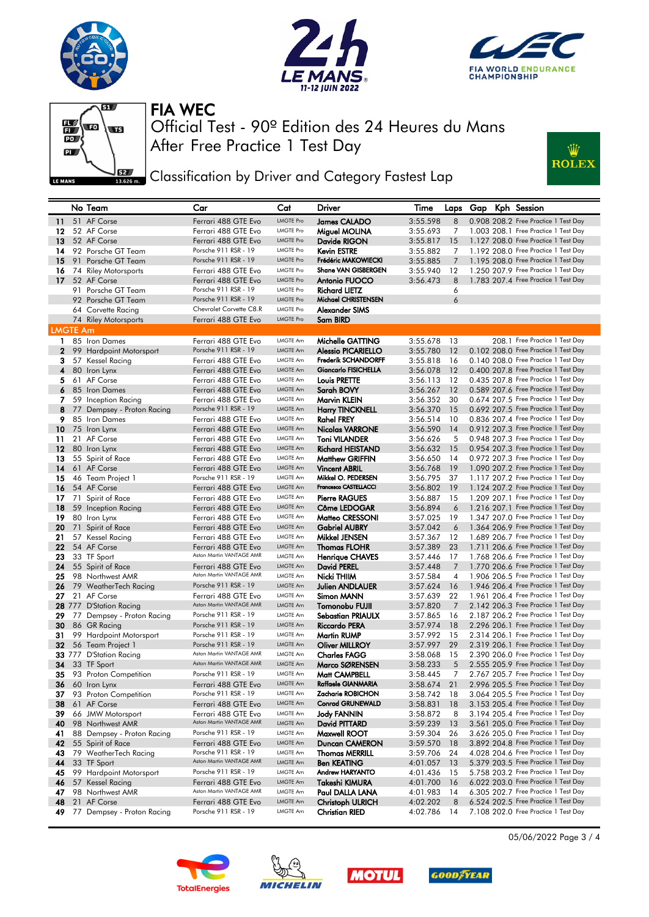









## **EXALC** Classification by Driver and Category Fastest Lap

|                 | No Team                                             | Car                                             | Cat                  | Driver                                    | Time                 |           |  | Laps Gap Kph Session                                                         |
|-----------------|-----------------------------------------------------|-------------------------------------------------|----------------------|-------------------------------------------|----------------------|-----------|--|------------------------------------------------------------------------------|
| 11              | 51 AF Corse                                         | Ferrari 488 GTE Evo                             | <b>LMGTE Pro</b>     | James CALADO                              | 3:55.598             | 8         |  | 0.908 208.2 Free Practice 1 Test Day                                         |
| 12              | 52 AF Corse                                         | Ferrari 488 GTE Evo                             | LMGTE Pro            | Miguel MOLINA                             | 3:55.693             | 7         |  | 1,003 208.1 Free Practice 1 Test Day                                         |
| 13              | 52 AF Corse                                         | Ferrari 488 GTE Evo                             | <b>LMGTE Pro</b>     | Davide RIGON                              | 3:55.817             | 15        |  | 1.127 208.0 Free Practice 1 Test Day                                         |
| 14              | 92 Porsche GT Team                                  | Porsche 911 RSR - 19                            | LMGTE Pro            | Kevin ESTRE                               | 3:55.882             | 7         |  | 1,192 208.0 Free Practice 1 Test Day                                         |
| 15              | 91 Porsche GT Team                                  | Porsche 911 RSR - 19                            | <b>LMGTE Pro</b>     | Frédéric MAKOWIECKI                       | 3:55.885             | 7         |  | 1.195 208.0 Free Practice 1 Test Day                                         |
| 16              | 74 Riley Motorsports                                | Ferrari 488 GTE Evo                             | LMGTE Pro            | <b>Shane VAN GISBERGEN</b>                | 3:55.940             | 12        |  | 1.250 207.9 Free Practice 1 Test Day                                         |
| 17              | 52 AF Corse                                         | Ferrari 488 GTE Evo                             | <b>LMGTE Pro</b>     | Antonio FUOCO                             | 3:56.473             | 8         |  | 1.783 207.4 Free Practice 1 Test Day                                         |
|                 | 91 Porsche GT Team                                  | Porsche 911 RSR - 19                            | <b>LMGTE Pro</b>     | Richard LIETZ                             |                      | 6         |  |                                                                              |
|                 |                                                     | Porsche 911 RSR - 19                            | <b>LMGTE Pro</b>     | Michael CHRISTENSEN                       |                      | 6         |  |                                                                              |
|                 | 92 Porsche GT Team                                  | Chevrolet Corvette C8.R                         | LMGTE Pro            |                                           |                      |           |  |                                                                              |
|                 | 64 Corvette Racing                                  |                                                 | <b>LMGTE Pro</b>     | Alexander SIMS                            |                      |           |  |                                                                              |
|                 | 74 Riley Motorsports                                | Ferrari 488 GTE Evo                             |                      | Sam BIRD                                  |                      |           |  |                                                                              |
| <b>LMGTE Am</b> |                                                     |                                                 |                      |                                           |                      |           |  |                                                                              |
|                 | 1 85 Iron Dames                                     | Ferrari 488 GTE Evo                             | LMGTE Am             | Michelle GATTING                          | 3:55.678             | 13        |  | 208.1 Free Practice 1 Test Day                                               |
|                 | 2 99 Hardpoint Motorsport                           | Porsche 911 RSR - 19                            | LMGTE Am             | <b>Alessio PICARIELLO</b>                 | 3:55.780 12          |           |  | 0.102 208.0 Free Practice 1 Test Day                                         |
| 3               | 57 Kessel Racing                                    | Ferrari 488 GTE Evo                             | LMGTE Am             | <b>Frederik SCHANDORFF</b>                | 3:55.818             | 16        |  | 0.140 208.0 Free Practice 1 Test Day                                         |
| 4               | 80 Iron Lynx                                        | Ferrari 488 GTE Evo                             | LMGTE Am             | Giancarlo FISICHELLA                      | 3:56.078             | 12        |  | 0.400 207.8 Free Practice 1 Test Day                                         |
| 5.              | 61 AF Corse                                         | Ferrari 488 GTE Evo                             | LMGTE Am             | Louis PRETTE                              | 3:56.113             | 12        |  | 0.435 207.8 Free Practice 1 Test Day                                         |
|                 | 6 85 Iron Dames                                     | Ferrari 488 GTE Evo                             | LMGTE Am             | Sarah BOVY                                | 3:56.267             | -12       |  | 0.589 207.6 Free Practice 1 Test Day                                         |
| 7               | 59 Inception Racing                                 | Ferrari 488 GTE Evo                             | LMGTE Am             | Marvin KLEIN                              | 3:56.352             | 30        |  | 0.674 207.5 Free Practice 1 Test Day                                         |
|                 | 8 77 Dempsey - Proton Racing                        | Porsche 911 RSR - 19                            | LMGTE Am             | <b>Harry TINCKNELL</b>                    | 3:56.370             | - 15      |  | 0.692 207.5 Free Practice 1 Test Day                                         |
| 9.              | 85 Iron Dames                                       | Ferrari 488 GTE Evo                             | LMGTE Am             | Rahel FREY                                | 3:56.514             | 10        |  | 0.836 207.4 Free Practice 1 Test Day                                         |
|                 | $10$ 75 Iron Lynx                                   | Ferrari 488 GTE Evo                             | LMGTE Am             | <b>Nicolas VARRONE</b>                    | 3:56.590             | -14       |  | 0.912 207.3 Free Practice 1 Test Day                                         |
| 11              | 21 AF Corse                                         | Ferrari 488 GTE Evo                             | LMGTE Am             | <b>Toni VILANDER</b>                      | 3:56.626             | 5         |  | 0.948 207.3 Free Practice 1 Test Day                                         |
| 12              | 80 Iron Lynx                                        | Ferrari 488 GTE Evo                             | LMGTE Am             | <b>Richard HEISTAND</b>                   | 3:56.632             | - 15      |  | 0.954 207.3 Free Practice 1 Test Day                                         |
| 13              | 55 Spirit of Race                                   | Ferrari 488 GTE Evo                             | LMGTE Am             | Matthew GRIFFIN                           | 3:56.650             | 14        |  | 0.972 207.3 Free Practice 1 Test Day                                         |
| 14              | 61 AF Corse                                         | Ferrari 488 GTE Evo                             | <b>LMGTE Am</b>      | <b>Vincent ABRIL</b>                      | 3:56.768             | -19       |  | 1.090 207.2 Free Practice 1 Test Day                                         |
| 15              | 46 Team Project 1                                   | Porsche 911 RSR - 19                            | LMGTE Am             | Mikkel O. PEDERSEN                        | 3:56.795             | 37        |  | 1.117 207.2 Free Practice 1 Test Day                                         |
| 16              | 54 AF Corse                                         | Ferrari 488 GTE Evo                             | LMGTE Am             | Francesco CASTELLACCI                     | 3:56.802             | - 19      |  | 1.124 207.2 Free Practice 1 Test Day                                         |
| 17              | 71 Spirit of Race                                   | Ferrari 488 GTE Evo                             | LMGTE Am             | <b>Pierre RAGUES</b>                      | 3:56.887             | 15        |  | 1.209 207.1 Free Practice 1 Test Day                                         |
| 18              | 59 Inception Racing                                 | Ferrari 488 GTE Evo                             | <b>LMGTE Am</b>      | Côme LEDOGAR                              | 3:56.894             | 6         |  | 1.216 207.1 Free Practice 1 Test Day                                         |
| 19              | 80 Iron Lynx                                        | Ferrari 488 GTE Evo                             | LMGTE Am             | Matteo CRESSONI                           | 3:57.025             | 19        |  | 1.347 207.0 Free Practice 1 Test Day                                         |
| 20              | 71 Spirit of Race                                   | Ferrari 488 GTE Evo                             | <b>LMGTE Am</b>      | <b>Gabriel AUBRY</b>                      | 3:57.042             | 6         |  | 1.364 206.9 Free Practice 1 Test Day                                         |
| 21              | 57 Kessel Racing                                    | Ferrari 488 GTE Evo                             | LMGTE Am             | Mikkel JENSEN                             | 3:57.367             | 12        |  | 1.689 206.7 Free Practice 1 Test Day                                         |
| 22              | 54 AF Corse                                         | Ferrari 488 GTE Evo                             | <b>LMGTE Am</b>      | <b>Thomas FLOHR</b>                       | 3:57.389             | 23        |  | 1.711 206.6 Free Practice 1 Test Day                                         |
| 23              | 33 TF Sport                                         | Aston Martin VANTAGE AMR                        | LMGTE Am             | Henrique CHAVES                           | 3:57.446             | 17        |  | 1.768 206.6 Free Practice 1 Test Day                                         |
| 24              | 55 Spirit of Race                                   | Ferrari 488 GTE Evo                             | LMGTE Am             | David PEREL                               | 3:57.448             | 7         |  | 1.770 206.6 Free Practice 1 Test Day                                         |
| 25              | 98 Northwest AMR                                    | Aston Martin VANTAGE AMR                        | LMGTE Am             | Nicki THIIM                               | 3:57.584             | 4         |  | 1.906 206.5 Free Practice 1 Test Day                                         |
|                 | 26 79 WeatherTech Racing                            | Porsche 911 RSR - 19                            | <b>LMGTE Am</b>      | <b>Julien ANDLAUER</b>                    | 3:57.624             | <b>16</b> |  | 1.946 206.4 Free Practice 1 Test Day                                         |
| 27              | 21 AF Corse                                         | Ferrari 488 GTE Evo                             | LMGTE Am             | Simon MANN                                | 3:57.639             | 22        |  | 1.961 206.4 Free Practice 1 Test Day                                         |
|                 | 28 777 D'Station Racing                             | Aston Martin VANTAGE AMR                        | LMGTE Am             | Tomonobu FUJII                            | 3:57.820             | 7         |  | 2.142 206.3 Free Practice 1 Test Day                                         |
| 29              | 77 Dempsey - Proton Racing                          | Porsche 911 RSR - 19                            | LMGTE Am             | Sebastian PRIAULX                         | 3:57.865             | 16        |  | 2.187 206.2 Free Practice 1 Test Day                                         |
| 30              | 86 GR Racing                                        | Porsche 911 RSR - 19                            | LMGTE Am             | Riccardo PERA                             | 3:57.974             | - 18      |  | 2.296 206.1 Free Practice 1 Test Day                                         |
| 31              | 99 Hardpoint Motorsport                             | Porsche 911 RSR - 19                            | LMGTE Am             | Martin RUMP                               | 3:57.992             | 15        |  | 2.314 206.1 Free Practice 1 Test Day                                         |
| 32              | 56 Team Project 1                                   | Porsche 911 RSR - 19                            | LMGTE Am             | <b>Oliver MILLROY</b>                     | 3:57.997 29          |           |  | 2.319 206.1 Free Practice 1 Test Day                                         |
|                 | 33 777 D'Station Racing                             | Aston Martin VANTAGE AMR                        | LMGTE Am             | <b>Charles FAGG</b>                       | 3:58.068             | 15        |  | 2.390 206.0 Free Practice 1 Test Day                                         |
| 34              | 33 TF Sport                                         | Aston Martin VANTAGE AMR                        | LMGTE Am             | Marco SØRENSEN                            | 3:58.233             | 5         |  | 2.555 205.9 Free Practice 1 Test Day                                         |
| 35              | 93 Proton Competition                               | Porsche 911 RSR - 19                            | LMGTE Am             | Matt CAMPBELL                             | 3:58.445             | 7         |  | 2.767 205.7 Free Practice 1 Test Day                                         |
|                 | 36 60 Iron Lynx                                     | Ferrari 488 GTE Evo                             | LMGTE Am             | Raffaele GIANMARIA                        | 3:58.674 21          |           |  | 2.996 205.5 Free Practice 1 Test Day                                         |
|                 | 37 93 Proton Competition                            | Porsche 911 RSR - 19                            | <b>LMGTE Am</b>      | Zacharie ROBICHON                         |                      |           |  | 3:58.742 18 3.064 205.5 Free Practice 1 Test Day                             |
|                 |                                                     | Ferrari 488 GTE Evo                             | LMGTE Am             | <b>Conrad GRUNEWALD</b>                   | $3:58.831$ 18        |           |  | 3.153 205.4 Free Practice 1 Test Day                                         |
|                 | 38 61 AF Corse<br>66 JMW Motorsport                 |                                                 | LMGTE Am             | <b>Jody FANNIN</b>                        |                      |           |  | 3.194 205.4 Free Practice 1 Test Day                                         |
| 39              |                                                     | Ferrari 488 GTE Evo<br>Aston Martin VANTAGE AMR | LMGTE Am             | David PITTARD                             | 3:58.872             | 8         |  | 3.561 205.0 Free Practice 1 Test Day                                         |
| 40              | 98 Northwest AMR                                    | Porsche 911 RSR - 19                            |                      |                                           | 3:59.239 13          |           |  | 3.626 205.0 Free Practice 1 Test Day                                         |
| 41              | 88 Dempsey - Proton Racing                          |                                                 | LMGTE Am             | Maxwell ROOT                              | 3:59.304             | 26        |  |                                                                              |
| 42              | 55 Spirit of Race                                   | Ferrari 488 GTE Evo<br>Porsche 911 RSR - 19     | LMGTE Am             | Duncan CAMERON                            | $3:59.570$ 18        |           |  | 3.892 204.8 Free Practice 1 Test Day                                         |
| 43              | 79 WeatherTech Racing                               |                                                 | LMGTE Am             | Thomas MERRILL                            | 3:59.706             | 24        |  | 4.028 204.6 Free Practice 1 Test Day                                         |
| 44              | 33 TF Sport                                         | Aston Martin VANTAGE AMR                        | LMGTE Am             | <b>Ben KEATING</b>                        | 4:01.057 13          |           |  | 5.379 203.5 Free Practice 1 Test Day                                         |
| 45              | 99 Hardpoint Motorsport                             | Porsche 911 RSR - 19                            | LMGTE Am             | Andrew HARYANTO                           | 4:01.436             | 15        |  | 5.758 203.2 Free Practice 1 Test Day                                         |
| 46              |                                                     |                                                 |                      |                                           |                      |           |  |                                                                              |
|                 | 57 Kessel Racing                                    | Ferrari 488 GTE Evo                             | LMGTE Am             | Takeshi KIMURA                            | 4:01.700             | - 16      |  | 6.022 203.0 Free Practice 1 Test Day                                         |
| 47              | 98 Northwest AMR                                    | Aston Martin VANTAGE AMR                        | LMGTE Am             | Paul DALLA LANA                           | 4:01.983             | 14        |  | 6.305 202.7 Free Practice 1 Test Day                                         |
| 49              | <b>48</b> 21 AF Corse<br>77 Dempsey - Proton Racing | Ferrari 488 GTE Evo<br>Porsche 911 RSR - 19     | LMGTE Am<br>LMGTE Am | <b>Christoph ULRICH</b><br>Christian RIED | 4:02.202<br>4:02.786 | 8<br>14   |  | 6.524 202.5 Free Practice 1 Test Day<br>7.108 202.0 Free Practice 1 Test Day |









05/06/2022 Page 3 / 4